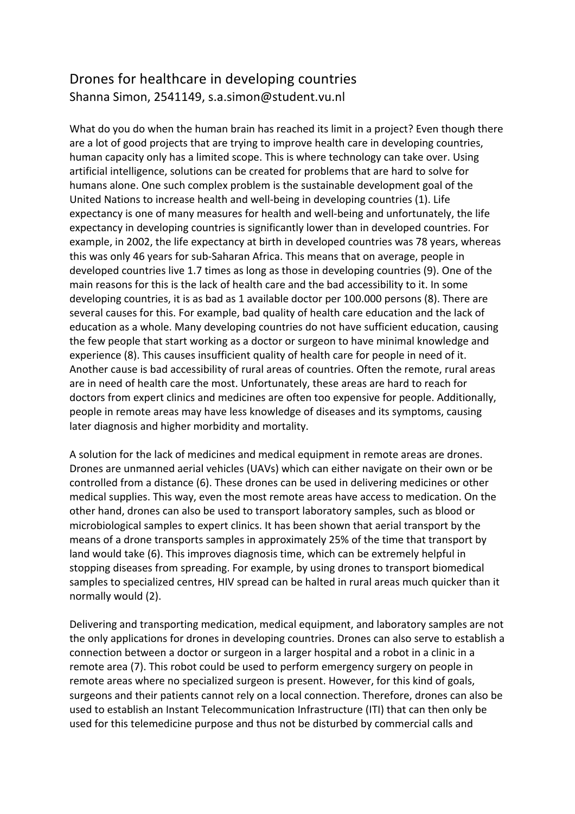## Drones for healthcare in developing countries Shanna Simon, 2541149, s.a.simon@student.vu.nl

What do you do when the human brain has reached its limit in a project? Even though there are a lot of good projects that are trying to improve health care in developing countries, human capacity only has a limited scope. This is where technology can take over. Using artificial intelligence, solutions can be created for problems that are hard to solve for humans alone. One such complex problem is the sustainable development goal of the United Nations to increase health and well-being in developing countries (1). Life expectancy is one of many measures for health and well-being and unfortunately, the life expectancy in developing countries is significantly lower than in developed countries. For example, in 2002, the life expectancy at birth in developed countries was 78 years, whereas this was only 46 years for sub-Saharan Africa. This means that on average, people in developed countries live 1.7 times as long as those in developing countries (9). One of the main reasons for this is the lack of health care and the bad accessibility to it. In some developing countries, it is as bad as 1 available doctor per  $100.000$  persons (8). There are several causes for this. For example, bad quality of health care education and the lack of education as a whole. Many developing countries do not have sufficient education, causing the few people that start working as a doctor or surgeon to have minimal knowledge and experience (8). This causes insufficient quality of health care for people in need of it. Another cause is bad accessibility of rural areas of countries. Often the remote, rural areas are in need of health care the most. Unfortunately, these areas are hard to reach for doctors from expert clinics and medicines are often too expensive for people. Additionally, people in remote areas may have less knowledge of diseases and its symptoms, causing later diagnosis and higher morbidity and mortality.

A solution for the lack of medicines and medical equipment in remote areas are drones. Drones are unmanned aerial vehicles (UAVs) which can either navigate on their own or be controlled from a distance (6). These drones can be used in delivering medicines or other medical supplies. This way, even the most remote areas have access to medication. On the other hand, drones can also be used to transport laboratory samples, such as blood or microbiological samples to expert clinics. It has been shown that aerial transport by the means of a drone transports samples in approximately 25% of the time that transport by land would take (6). This improves diagnosis time, which can be extremely helpful in stopping diseases from spreading. For example, by using drones to transport biomedical samples to specialized centres, HIV spread can be halted in rural areas much quicker than it normally would (2).

Delivering and transporting medication, medical equipment, and laboratory samples are not the only applications for drones in developing countries. Drones can also serve to establish a connection between a doctor or surgeon in a larger hospital and a robot in a clinic in a remote area (7). This robot could be used to perform emergency surgery on people in remote areas where no specialized surgeon is present. However, for this kind of goals, surgeons and their patients cannot rely on a local connection. Therefore, drones can also be used to establish an Instant Telecommunication Infrastructure (ITI) that can then only be used for this telemedicine purpose and thus not be disturbed by commercial calls and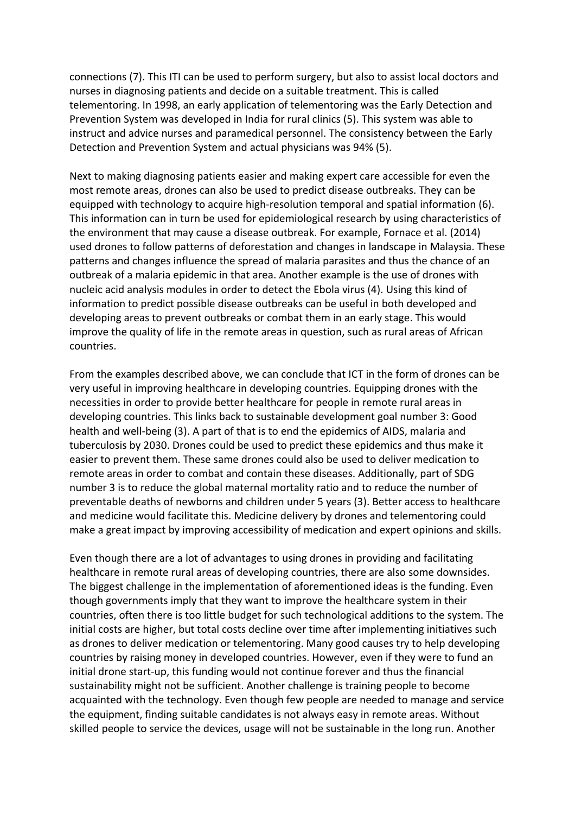connections (7). This ITI can be used to perform surgery, but also to assist local doctors and nurses in diagnosing patients and decide on a suitable treatment. This is called telementoring. In 1998, an early application of telementoring was the Early Detection and Prevention System was developed in India for rural clinics (5). This system was able to instruct and advice nurses and paramedical personnel. The consistency between the Early Detection and Prevention System and actual physicians was 94% (5).

Next to making diagnosing patients easier and making expert care accessible for even the most remote areas, drones can also be used to predict disease outbreaks. They can be equipped with technology to acquire high-resolution temporal and spatial information (6). This information can in turn be used for epidemiological research by using characteristics of the environment that may cause a disease outbreak. For example, Fornace et al. (2014) used drones to follow patterns of deforestation and changes in landscape in Malaysia. These patterns and changes influence the spread of malaria parasites and thus the chance of an outbreak of a malaria epidemic in that area. Another example is the use of drones with nucleic acid analysis modules in order to detect the Ebola virus (4). Using this kind of information to predict possible disease outbreaks can be useful in both developed and developing areas to prevent outbreaks or combat them in an early stage. This would improve the quality of life in the remote areas in question, such as rural areas of African countries.

From the examples described above, we can conclude that ICT in the form of drones can be very useful in improving healthcare in developing countries. Equipping drones with the necessities in order to provide better healthcare for people in remote rural areas in developing countries. This links back to sustainable development goal number 3: Good health and well-being (3). A part of that is to end the epidemics of AIDS, malaria and tuberculosis by 2030. Drones could be used to predict these epidemics and thus make it easier to prevent them. These same drones could also be used to deliver medication to remote areas in order to combat and contain these diseases. Additionally, part of SDG number 3 is to reduce the global maternal mortality ratio and to reduce the number of preventable deaths of newborns and children under 5 years (3). Better access to healthcare and medicine would facilitate this. Medicine delivery by drones and telementoring could make a great impact by improving accessibility of medication and expert opinions and skills.

Even though there are a lot of advantages to using drones in providing and facilitating healthcare in remote rural areas of developing countries, there are also some downsides. The biggest challenge in the implementation of aforementioned ideas is the funding. Even though governments imply that they want to improve the healthcare system in their countries, often there is too little budget for such technological additions to the system. The initial costs are higher, but total costs decline over time after implementing initiatives such as drones to deliver medication or telementoring. Many good causes try to help developing countries by raising money in developed countries. However, even if they were to fund an initial drone start-up, this funding would not continue forever and thus the financial sustainability might not be sufficient. Another challenge is training people to become acquainted with the technology. Even though few people are needed to manage and service the equipment, finding suitable candidates is not always easy in remote areas. Without skilled people to service the devices, usage will not be sustainable in the long run. Another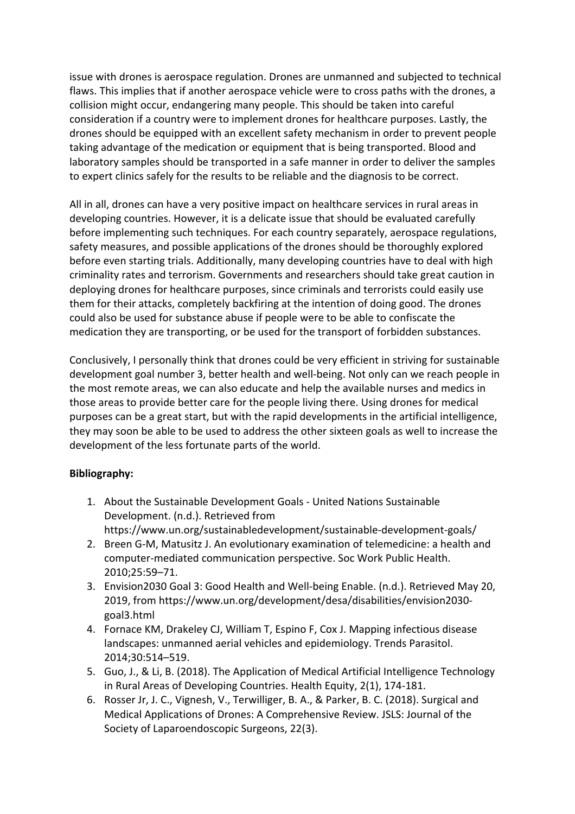issue with drones is aerospace regulation. Drones are unmanned and subjected to technical flaws. This implies that if another aerospace vehicle were to cross paths with the drones, a collision might occur, endangering many people. This should be taken into careful consideration if a country were to implement drones for healthcare purposes. Lastly, the drones should be equipped with an excellent safety mechanism in order to prevent people taking advantage of the medication or equipment that is being transported. Blood and laboratory samples should be transported in a safe manner in order to deliver the samples to expert clinics safely for the results to be reliable and the diagnosis to be correct.

All in all, drones can have a very positive impact on healthcare services in rural areas in developing countries. However, it is a delicate issue that should be evaluated carefully before implementing such techniques. For each country separately, aerospace regulations, safety measures, and possible applications of the drones should be thoroughly explored before even starting trials. Additionally, many developing countries have to deal with high criminality rates and terrorism. Governments and researchers should take great caution in deploying drones for healthcare purposes, since criminals and terrorists could easily use them for their attacks, completely backfiring at the intention of doing good. The drones could also be used for substance abuse if people were to be able to confiscate the medication they are transporting, or be used for the transport of forbidden substances.

Conclusively, I personally think that drones could be very efficient in striving for sustainable development goal number 3, better health and well-being. Not only can we reach people in the most remote areas, we can also educate and help the available nurses and medics in those areas to provide better care for the people living there. Using drones for medical purposes can be a great start, but with the rapid developments in the artificial intelligence, they may soon be able to be used to address the other sixteen goals as well to increase the development of the less fortunate parts of the world.

## **Bibliography:**

- 1. About the Sustainable Development Goals United Nations Sustainable Development. (n.d.). Retrieved from https://www.un.org/sustainabledevelopment/sustainable-development-goals/
- 2. Breen G-M, Matusitz J. An evolutionary examination of telemedicine: a health and computer-mediated communication perspective. Soc Work Public Health. 2010;25:59–71.
- 3. Envision2030 Goal 3: Good Health and Well-being Enable. (n.d.). Retrieved May 20, 2019, from https://www.un.org/development/desa/disabilities/envision2030goal3.html
- 4. Fornace KM, Drakeley CJ, William T, Espino F, Cox J. Mapping infectious disease landscapes: unmanned aerial vehicles and epidemiology. Trends Parasitol. 2014;30:514–519.
- 5. Guo, J., & Li, B. (2018). The Application of Medical Artificial Intelligence Technology in Rural Areas of Developing Countries. Health Equity, 2(1), 174-181.
- 6. Rosser Jr, J. C., Vignesh, V., Terwilliger, B. A., & Parker, B. C. (2018). Surgical and Medical Applications of Drones: A Comprehensive Review. JSLS: Journal of the Society of Laparoendoscopic Surgeons, 22(3).